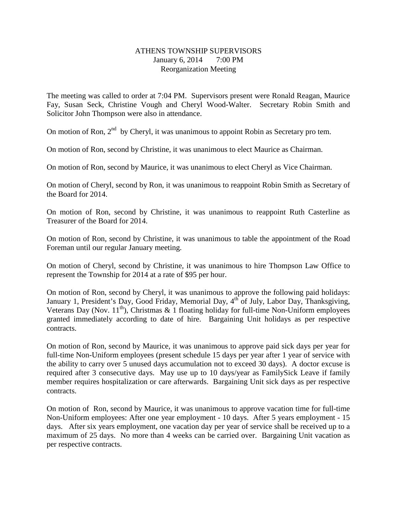## ATHENS TOWNSHIP SUPERVISORS January 6, 2014 7:00 PM Reorganization Meeting

The meeting was called to order at 7:04 PM. Supervisors present were Ronald Reagan, Maurice Fay, Susan Seck, Christine Vough and Cheryl Wood-Walter. Secretary Robin Smith and Solicitor John Thompson were also in attendance.

On motion of Ron,  $2<sup>nd</sup>$  by Cheryl, it was unanimous to appoint Robin as Secretary pro tem.

On motion of Ron, second by Christine, it was unanimous to elect Maurice as Chairman.

On motion of Ron, second by Maurice, it was unanimous to elect Cheryl as Vice Chairman.

On motion of Cheryl, second by Ron, it was unanimous to reappoint Robin Smith as Secretary of the Board for 2014.

On motion of Ron, second by Christine, it was unanimous to reappoint Ruth Casterline as Treasurer of the Board for 2014.

On motion of Ron, second by Christine, it was unanimous to table the appointment of the Road Foreman until our regular January meeting.

On motion of Cheryl, second by Christine, it was unanimous to hire Thompson Law Office to represent the Township for 2014 at a rate of \$95 per hour.

On motion of Ron, second by Cheryl, it was unanimous to approve the following paid holidays: January 1, President's Day, Good Friday, Memorial Day, 4<sup>th</sup> of July, Labor Day, Thanksgiving, Veterans Day (Nov.  $11^{th}$ ), Christmas & 1 floating holiday for full-time Non-Uniform employees granted immediately according to date of hire. Bargaining Unit holidays as per respective contracts.

On motion of Ron, second by Maurice, it was unanimous to approve paid sick days per year for full-time Non-Uniform employees (present schedule 15 days per year after 1 year of service with the ability to carry over 5 unused days accumulation not to exceed 30 days). A doctor excuse is required after 3 consecutive days. May use up to 10 days/year as FamilySick Leave if family member requires hospitalization or care afterwards. Bargaining Unit sick days as per respective contracts.

On motion of Ron, second by Maurice, it was unanimous to approve vacation time for full-time Non-Uniform employees: After one year employment - 10 days. After 5 years employment - 15 days. After six years employment, one vacation day per year of service shall be received up to a maximum of 25 days. No more than 4 weeks can be carried over. Bargaining Unit vacation as per respective contracts.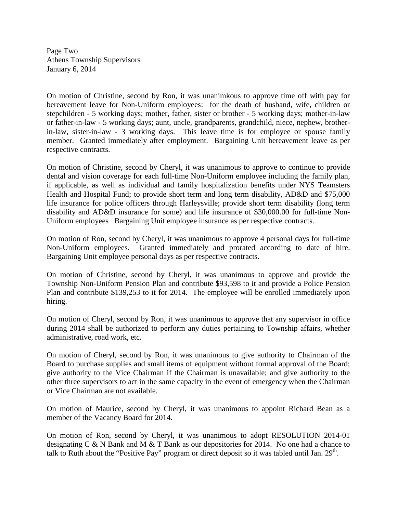Page Two Athens Township Supervisors January 6, 2014

On motion of Christine, second by Ron, it was unanimkous to approve time off with pay for bereavement leave for Non-Uniform employees: for the death of husband, wife, children or stepchildren - 5 working days; mother, father, sister or brother - 5 working days; mother-in-law or father-in-law - 5 working days; aunt, uncle, grandparents, grandchild, niece, nephew, brotherin-law, sister-in-law - 3 working days. This leave time is for employee or spouse family member. Granted immediately after employment. Bargaining Unit bereavement leave as per respective contracts.

On motion of Christine, second by Cheryl, it was unanimous to approve to continue to provide dental and vision coverage for each full-time Non-Uniform employee including the family plan, if applicable, as well as individual and family hospitalization benefits under NYS Teamsters Health and Hospital Fund; to provide short term and long term disability, AD&D and \$75,000 life insurance for police officers through Harleysville; provide short term disability (long term disability and AD&D insurance for some) and life insurance of \$30,000.00 for full-time Non-Uniform employees Bargaining Unit employee insurance as per respective contracts.

On motion of Ron, second by Cheryl, it was unanimous to approve 4 personal days for full-time Non-Uniform employees. Granted immediately and prorated according to date of hire. Bargaining Unit employee personal days as per respective contracts.

On motion of Christine, second by Cheryl, it was unanimous to approve and provide the Township Non-Uniform Pension Plan and contribute \$93,598 to it and provide a Police Pension Plan and contribute \$139,253 to it for 2014. The employee will be enrolled immediately upon hiring.

On motion of Cheryl, second by Ron, it was unanimous to approve that any supervisor in office during 2014 shall be authorized to perform any duties pertaining to Township affairs, whether administrative, road work, etc.

On motion of Cheryl, second by Ron, it was unanimous to give authority to Chairman of the Board to purchase supplies and small items of equipment without formal approval of the Board; give authority to the Vice Chairman if the Chairman is unavailable; and give authority to the other three supervisors to act in the same capacity in the event of emergency when the Chairman or Vice Chairman are not available.

On motion of Maurice, second by Cheryl, it was unanimous to appoint Richard Bean as a member of the Vacancy Board for 2014.

On motion of Ron, second by Cheryl, it was unanimous to adopt RESOLUTION 2014-01 designating C & N Bank and M & T Bank as our depositories for 2014. No one had a chance to talk to Ruth about the "Positive Pay" program or direct deposit so it was tabled until Jan.  $29<sup>th</sup>$ .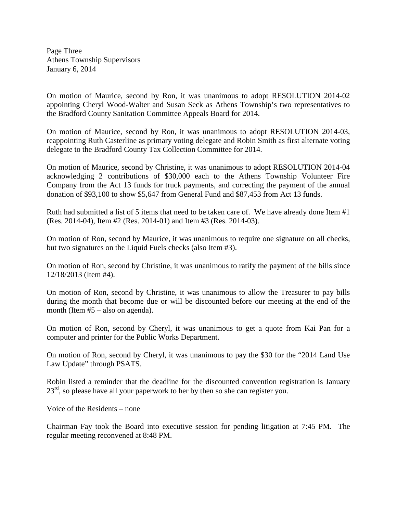Page Three Athens Township Supervisors January 6, 2014

On motion of Maurice, second by Ron, it was unanimous to adopt RESOLUTION 2014-02 appointing Cheryl Wood-Walter and Susan Seck as Athens Township's two representatives to the Bradford County Sanitation Committee Appeals Board for 2014.

On motion of Maurice, second by Ron, it was unanimous to adopt RESOLUTION 2014-03, reappointing Ruth Casterline as primary voting delegate and Robin Smith as first alternate voting delegate to the Bradford County Tax Collection Committee for 2014.

On motion of Maurice, second by Christine, it was unanimous to adopt RESOLUTION 2014-04 acknowledging 2 contributions of \$30,000 each to the Athens Township Volunteer Fire Company from the Act 13 funds for truck payments, and correcting the payment of the annual donation of \$93,100 to show \$5,647 from General Fund and \$87,453 from Act 13 funds.

Ruth had submitted a list of 5 items that need to be taken care of. We have already done Item #1 (Res. 2014-04), Item #2 (Res. 2014-01) and Item #3 (Res. 2014-03).

On motion of Ron, second by Maurice, it was unanimous to require one signature on all checks, but two signatures on the Liquid Fuels checks (also Item #3).

On motion of Ron, second by Christine, it was unanimous to ratify the payment of the bills since 12/18/2013 (Item #4).

On motion of Ron, second by Christine, it was unanimous to allow the Treasurer to pay bills during the month that become due or will be discounted before our meeting at the end of the month (Item #5 – also on agenda).

On motion of Ron, second by Cheryl, it was unanimous to get a quote from Kai Pan for a computer and printer for the Public Works Department.

On motion of Ron, second by Cheryl, it was unanimous to pay the \$30 for the "2014 Land Use Law Update" through PSATS.

Robin listed a reminder that the deadline for the discounted convention registration is January  $23<sup>rd</sup>$ , so please have all your paperwork to her by then so she can register you.

Voice of the Residents – none

Chairman Fay took the Board into executive session for pending litigation at 7:45 PM. The regular meeting reconvened at 8:48 PM.